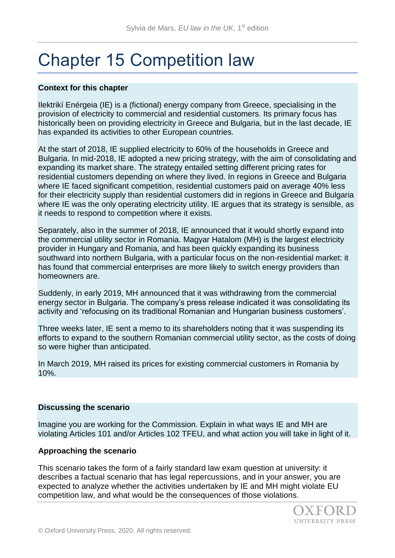# Chapter 15 Competition law

## **Context for this chapter**

Ilektrikí Enérgeia (IE) is a (fictional) energy company from Greece, specialising in the provision of electricity to commercial and residential customers. Its primary focus has historically been on providing electricity in Greece and Bulgaria, but in the last decade, IE has expanded its activities to other European countries.

At the start of 2018, IE supplied electricity to 60% of the households in Greece and Bulgaria. In mid-2018, IE adopted a new pricing strategy, with the aim of consolidating and expanding its market share. The strategy entailed setting different pricing rates for residential customers depending on where they lived. In regions in Greece and Bulgaria where IE faced significant competition, residential customers paid on average 40% less for their electricity supply than residential customers did in regions in Greece and Bulgaria where IE was the only operating electricity utility. IE argues that its strategy is sensible, as it needs to respond to competition where it exists.

Separately, also in the summer of 2018, IE announced that it would shortly expand into the commercial utility sector in Romania. Magyar Hatalom (MH) is the largest electricity provider in Hungary and Romania, and has been quickly expanding its business southward into northern Bulgaria, with a particular focus on the non-residential market: it has found that commercial enterprises are more likely to switch energy providers than homeowners are.

Suddenly, in early 2019, MH announced that it was withdrawing from the commercial energy sector in Bulgaria. The company's press release indicated it was consolidating its activity and 'refocusing on its traditional Romanian and Hungarian business customers'.

Three weeks later, IE sent a memo to its shareholders noting that it was suspending its efforts to expand to the southern Romanian commercial utility sector, as the costs of doing so were higher than anticipated.

In March 2019, MH raised its prices for existing commercial customers in Romania by 10%.

#### **Discussing the scenario**

Imagine you are working for the Commission. Explain in what ways IE and MH are violating Articles 101 and/or Articles 102 TFEU, and what action you will take in light of it.

#### **Approaching the scenario**

This scenario takes the form of a fairly standard law exam question at university: it describes a factual scenario that has legal repercussions, and in your answer, you are expected to analyze whether the activities undertaken by IE and MH might violate EU competition law, and what would be the consequences of those violations.

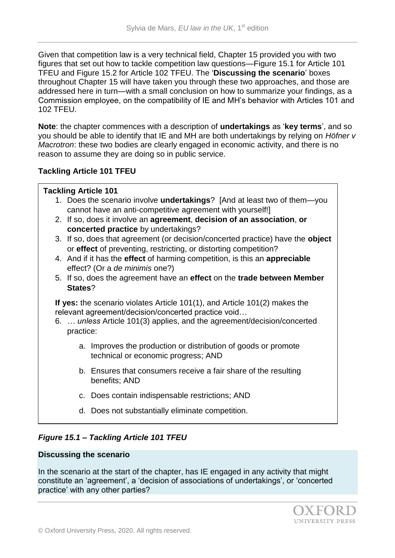Given that competition law is a very technical field, Chapter 15 provided you with two figures that set out how to tackle competition law questions—Figure 15.1 for Article 101 TFEU and Figure 15.2 for Article 102 TFEU. The '**Discussing the scenario**' boxes throughout Chapter 15 will have taken you through these two approaches, and those are addressed here in turn—with a small conclusion on how to summarize your findings, as a Commission employee, on the compatibility of IE and MH's behavior with Articles 101 and 102 TFEU.

**Note**: the chapter commences with a description of **undertakings** as '**key terms**', and so you should be able to identify that IE and MH are both undertakings by relying on *Höfner v Macrotron*: these two bodies are clearly engaged in economic activity, and there is no reason to assume they are doing so in public service.

# **Tackling Article 101 TFEU**

#### **Tackling Article 101**

- 1. Does the scenario involve **undertakings**? [And at least two of them—you cannot have an anti-competitive agreement with yourself!]
- 2. If so, does it involve an **agreement**, **decision of an association**, **or concerted practice** by undertakings?
- 3. If so, does that agreement (or decision/concerted practice) have the **object**  or **effect** of preventing, restricting, or distorting competition?
- 4. And if it has the **effect** of harming competition, is this an **appreciable**  effect? (Or a *de minimis* one?)
- 5. If so, does the agreement have an **effect** on the **trade between Member States**?

**If yes:** the scenario violates Article 101(1), and Article 101(2) makes the relevant agreement/decision/concerted practice void…

- 6. *… unless* Article 101(3) applies, and the agreement/decision/concerted practice:
	- a. Improves the production or distribution of goods or promote technical or economic progress; AND
	- b. Ensures that consumers receive a fair share of the resulting benefits; AND
	- c. Does contain indispensable restrictions; AND
	- d. Does not substantially eliminate competition.

# *Figure 15.1 – Tackling Article 101 TFEU*

## **Discussing the scenario**

In the scenario at the start of the chapter, has IE engaged in any activity that might constitute an 'agreement', a 'decision of associations of undertakings', or 'concerted practice' with any other parties?

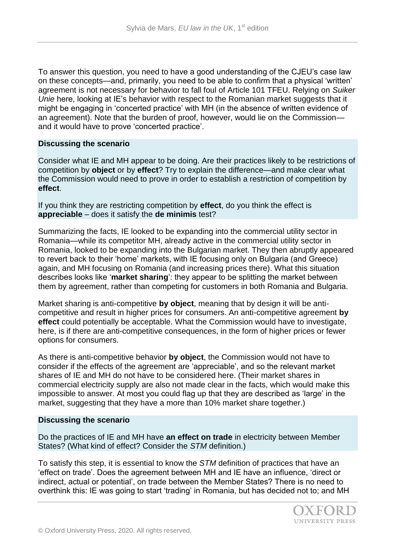To answer this question, you need to have a good understanding of the CJEU's case law on these concepts—and, primarily, you need to be able to confirm that a physical 'written' agreement is not necessary for behavior to fall foul of Article 101 TFEU. Relying on *Suiker Unie* here, looking at IE's behavior with respect to the Romanian market suggests that it might be engaging in 'concerted practice' with MH (in the absence of written evidence of an agreement). Note that the burden of proof, however, would lie on the Commission and it would have to prove 'concerted practice'.

#### **Discussing the scenario**

Consider what IE and MH appear to be doing. Are their practices likely to be restrictions of competition by **object** or by **effect**? Try to explain the difference—and make clear what the Commission would need to prove in order to establish a restriction of competition by **effect**.

If you think they are restricting competition by **effect**, do you think the effect is **appreciable** – does it satisfy the **de minimis** test?

Summarizing the facts, IE looked to be expanding into the commercial utility sector in Romania—while its competitor MH, already active in the commercial utility sector in Romania, looked to be expanding into the Bulgarian market. They then abruptly appeared to revert back to their 'home' markets, with IE focusing only on Bulgaria (and Greece) again, and MH focusing on Romania (and increasing prices there). What this situation describes looks like '**market sharing**': they appear to be splitting the market between them by agreement, rather than competing for customers in both Romania and Bulgaria.

Market sharing is anti-competitive **by object**, meaning that by design it will be anticompetitive and result in higher prices for consumers. An anti-competitive agreement **by effect** could potentially be acceptable. What the Commission would have to investigate, here, is if there are anti-competitive consequences, in the form of higher prices or fewer options for consumers.

As there is anti-competitive behavior **by object**, the Commission would not have to consider if the effects of the agreement are 'appreciable', and so the relevant market shares of IE and MH do not have to be considered here. (Their market shares in commercial electricity supply are also not made clear in the facts, which would make this impossible to answer. At most you could flag up that they are described as 'large' in the market, suggesting that they have a more than 10% market share together.)

#### **Discussing the scenario**

Do the practices of IE and MH have **an effect on trade** in electricity between Member States? (What kind of effect? Consider the *STM* definition.)

To satisfy this step, it is essential to know the *STM* definition of practices that have an 'effect on trade'. Does the agreement between MH and IE have an influence, 'direct or indirect, actual or potential', on trade between the Member States? There is no need to overthink this: IE was going to start 'trading' in Romania, but has decided not to; and MH

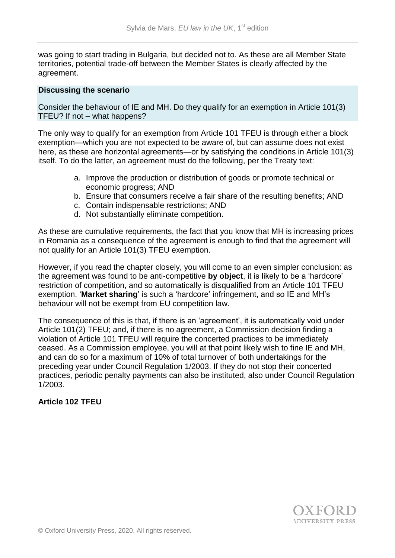was going to start trading in Bulgaria, but decided not to. As these are all Member State territories, potential trade-off between the Member States is clearly affected by the agreement.

#### **Discussing the scenario**

Consider the behaviour of IE and MH. Do they qualify for an exemption in Article 101(3) TFEU? If not – what happens?

The only way to qualify for an exemption from Article 101 TFEU is through either a block exemption—which you are not expected to be aware of, but can assume does not exist here, as these are horizontal agreements—or by satisfying the conditions in Article 101(3) itself. To do the latter, an agreement must do the following, per the Treaty text:

- a. Improve the production or distribution of goods or promote technical or economic progress; AND
- b. Ensure that consumers receive a fair share of the resulting benefits; AND
- c. Contain indispensable restrictions; AND
- d. Not substantially eliminate competition.

As these are cumulative requirements, the fact that you know that MH is increasing prices in Romania as a consequence of the agreement is enough to find that the agreement will not qualify for an Article 101(3) TFEU exemption.

However, if you read the chapter closely, you will come to an even simpler conclusion: as the agreement was found to be anti-competitive **by object**, it is likely to be a 'hardcore' restriction of competition, and so automatically is disqualified from an Article 101 TFEU exemption. '**Market sharing**' is such a 'hardcore' infringement, and so IE and MH's behaviour will not be exempt from EU competition law.

The consequence of this is that, if there is an 'agreement', it is automatically void under Article 101(2) TFEU; and, if there is no agreement, a Commission decision finding a violation of Article 101 TFEU will require the concerted practices to be immediately ceased. As a Commission employee, you will at that point likely wish to fine IE and MH, and can do so for a maximum of 10% of total turnover of both undertakings for the preceding year under Council Regulation 1/2003. If they do not stop their concerted practices, periodic penalty payments can also be instituted, also under Council Regulation 1/2003.

# **Article 102 TFEU**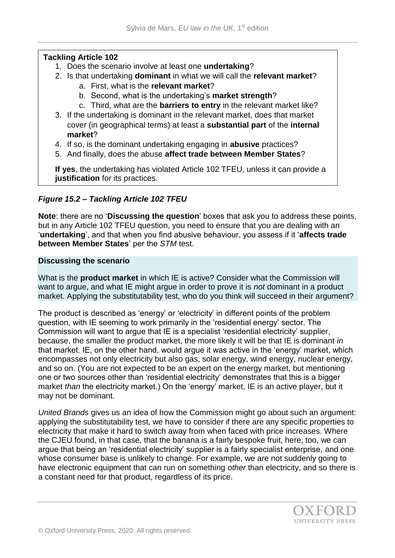## **Tackling Article 102**

- 1. Does the scenario involve at least one **undertaking**?
- 2. Is that undertaking **dominant** in what we will call the **relevant market**?
	- a. First, what is the **relevant market**?
	- b. Second, what is the undertaking's **market strength**?
	- c. Third, what are the **barriers to entry** in the relevant market like?
- 3. If the undertaking is dominant in the relevant market, does that market cover (in geographical terms) at least a **substantial part** of the **internal market**?
- 4. If so, is the dominant undertaking engaging in **abusive** practices?
- 5. And finally, does the abuse **affect trade between Member States**?

**If yes**, the undertaking has violated Article 102 TFEU, unless it can provide a **justification** for its practices.

# *Figure 15.2 – Tackling Article 102 TFEU*

**Note**: there are no '**Discussing the question**' boxes that ask you to address these points, but in any Article 102 TFEU question, you need to ensure that you are dealing with an '**undertaking**', and that when you find abusive behaviour, you assess if it '**affects trade between Member States**' per the *STM* test.

#### **Discussing the scenario**

What is the **product market** in which IE is active? Consider what the Commission will want to argue, and what IE might argue in order to prove it is *not* dominant in a product market. Applying the substitutability test, who do you think will succeed in their argument?

The product is described as 'energy' or 'electricity' in different points of the problem question, with IE seeming to work primarily in the 'residential energy' sector. The Commission will want to argue that IE is a specialist 'residential electricity' supplier, because, the smaller the product market, the more likely it will be that IE is dominant *in* that market. IE, on the other hand, would argue it was active in the 'energy' market, which encompasses not only electricity but also gas, solar energy, wind energy, nuclear energy, and so on. (You are not expected to be an expert on the energy market, but mentioning one or two sources other than 'residential electricity' demonstrates that this is a bigger market *than* the electricity market.) On the 'energy' market, IE is an active player, but it may not be dominant.

*United Brands* gives us an idea of how the Commission might go about such an argument: applying the substitutability test, we have to consider if there are any specific properties to electricity that make it hard to switch away from when faced with price increases. Where the CJEU found, in that case, that the banana is a fairly bespoke fruit, here, too, we can argue that being an 'residential electricity' supplier is a fairly specialist enterprise, and one whose consumer base is unlikely to change. For example, we are not suddenly going to have electronic equipment that can run on something *other* than electricity, and so there is a constant need for that product, regardless of its price.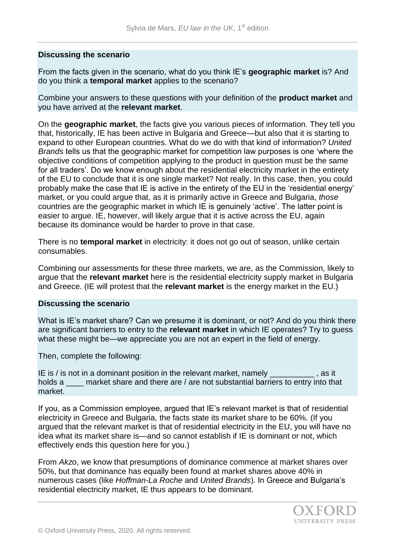## **Discussing the scenario**

From the facts given in the scenario, what do you think IE's **geographic market** is? And do you think a **temporal market** applies to the scenario?

Combine your answers to these questions with your definition of the **product market** and you have arrived at the **relevant market**.

On the **geographic market**, the facts give you various pieces of information. They tell you that, historically, IE has been active in Bulgaria and Greece—but also that it is starting to expand to other European countries. What do we do with that kind of information? *United Brands* tells us that the geographic market for competition law purposes is one 'where the objective conditions of competition applying to the product in question must be the same for all traders'. Do we know enough about the residential electricity market in the entirety of the EU to conclude that it is one single market? Not really. In this case, then, you could probably make the case that IE is active in the entirety of the EU in the 'residential energy' market, or you could argue that, as it is primarily active in Greece and Bulgaria, *those*  countries are the geographic market in which IE is genuinely 'active'. The latter point is easier to argue. IE, however, will likely argue that it is active across the EU, again because its dominance would be harder to prove in that case.

There is no **temporal market** in electricity: it does not go out of season, unlike certain consumables.

Combining our assessments for these three markets, we are, as the Commission, likely to argue that the **relevant market** here is the residential electricity supply market in Bulgaria and Greece. (IE will protest that the **relevant market** is the energy market in the EU.)

#### **Discussing the scenario**

What is IE's market share? Can we presume it is dominant, or not? And do you think there are significant barriers to entry to the **relevant market** in which IE operates? Try to guess what these might be—we appreciate you are not an expert in the field of energy.

Then, complete the following:

IE is / is not in a dominant position in the relevant market, namely exactled as it holds a \_\_\_\_ market share and there are / are not substantial barriers to entry into that market.

If you, as a Commission employee, argued that IE's relevant market is that of residential electricity in Greece and Bulgaria, the facts state its market share to be 60%. (If you argued that the relevant market is that of residential electricity in the EU, you will have no idea what its market share is—and so cannot establish if IE is dominant or not, which effectively ends this question here for you.)

From *Akzo*, we know that presumptions of dominance commence at market shares over 50%, but that dominance has equally been found at market shares above 40% in numerous cases (like *Hoffman-La Roche* and *United Brands*). In Greece and Bulgaria's residential electricity market, IE thus appears to be dominant.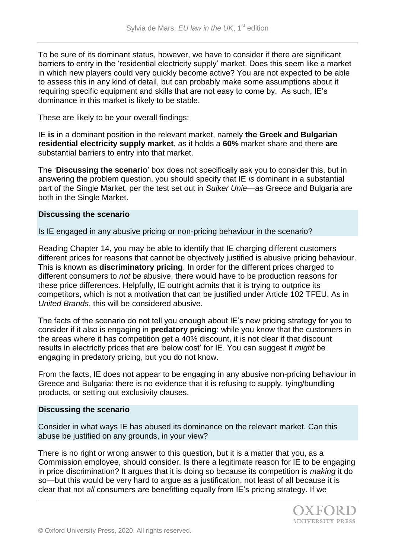To be sure of its dominant status, however, we have to consider if there are significant barriers to entry in the 'residential electricity supply' market. Does this seem like a market in which new players could very quickly become active? You are not expected to be able to assess this in any kind of detail, but can probably make some assumptions about it requiring specific equipment and skills that are not easy to come by. As such, IE's dominance in this market is likely to be stable.

These are likely to be your overall findings:

IE **is** in a dominant position in the relevant market, namely **the Greek and Bulgarian residential electricity supply market**, as it holds a **60%** market share and there **are**  substantial barriers to entry into that market.

The '**Discussing the scenario**' box does not specifically ask you to consider this, but in answering the problem question, you should specify that IE *is* dominant in a substantial part of the Single Market, per the test set out in *Suiker Unie*—as Greece and Bulgaria are both in the Single Market.

## **Discussing the scenario**

Is IE engaged in any abusive pricing or non-pricing behaviour in the scenario?

Reading Chapter 14, you may be able to identify that IE charging different customers different prices for reasons that cannot be objectively justified is abusive pricing behaviour. This is known as **discriminatory pricing**. In order for the different prices charged to different consumers to *not* be abusive, there would have to be production reasons for these price differences. Helpfully, IE outright admits that it is trying to outprice its competitors, which is not a motivation that can be justified under Article 102 TFEU. As in *United Brands*, this will be considered abusive.

The facts of the scenario do not tell you enough about IE's new pricing strategy for you to consider if it also is engaging in **predatory pricing**: while you know that the customers in the areas where it has competition get a 40% discount, it is not clear if that discount results in electricity prices that are 'below cost' for IE. You can suggest it *might* be engaging in predatory pricing, but you do not know.

From the facts, IE does not appear to be engaging in any abusive non-pricing behaviour in Greece and Bulgaria: there is no evidence that it is refusing to supply, tying/bundling products, or setting out exclusivity clauses.

#### **Discussing the scenario**

Consider in what ways IE has abused its dominance on the relevant market. Can this abuse be justified on any grounds, in your view?

There is no right or wrong answer to this question, but it is a matter that you, as a Commission employee, should consider. Is there a legitimate reason for IE to be engaging in price discrimination? It argues that it is doing so because its competition is *making* it do so—but this would be very hard to argue as a justification, not least of all because it is clear that not *all* consumers are benefitting equally from IE's pricing strategy. If we